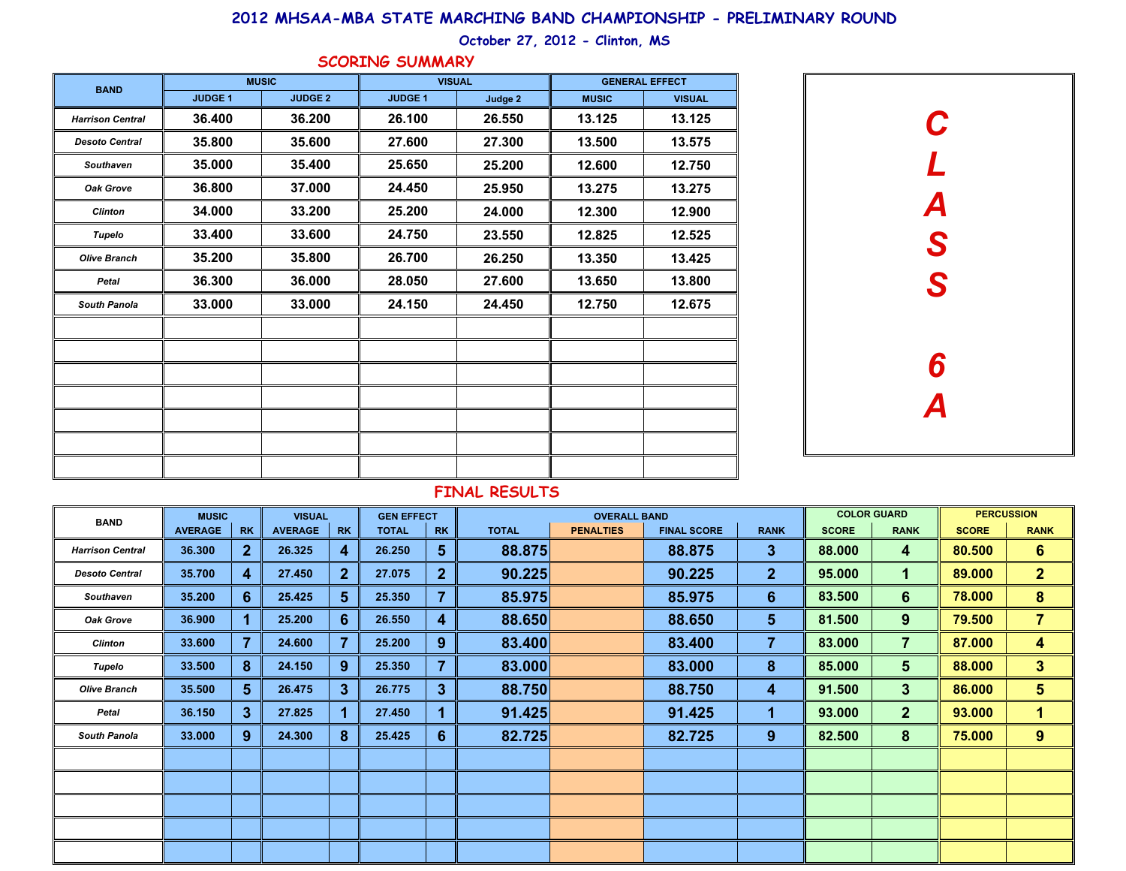## **2012 MHSAA-MBA STATE MARCHING BAND CHAMPIONSHIP - PRELIMINARY ROUND**

### **October 27, 2012 - Clinton, MS**

| <b>BAND</b>             |                | <b>MUSIC</b>   | <b>VISUAL</b>  |         | <b>GENERAL EFFECT</b> |               |  |  |  |  |
|-------------------------|----------------|----------------|----------------|---------|-----------------------|---------------|--|--|--|--|
|                         | <b>JUDGE 1</b> | <b>JUDGE 2</b> | <b>JUDGE 1</b> | Judge 2 | <b>MUSIC</b>          | <b>VISUAL</b> |  |  |  |  |
| <b>Harrison Central</b> | 36.400         | 36.200         | 26.100         | 26.550  | 13.125                | 13.125        |  |  |  |  |
| <b>Desoto Central</b>   | 35.800         | 35.600         | 27.600         | 27.300  | 13.500                | 13.575        |  |  |  |  |
| Southaven               | 35.000         | 35.400         | 25.650         | 25.200  | 12.600                | 12.750        |  |  |  |  |
| Oak Grove               | 36,800         | 37.000         | 24.450         | 25.950  | 13.275                | 13.275        |  |  |  |  |
| <b>Clinton</b>          | 34.000         | 33.200         | 25.200         | 24.000  | 12.300                | 12.900        |  |  |  |  |
| <b>Tupelo</b>           | 33.400         | 33.600         | 24.750         | 23.550  | 12.825                | 12.525        |  |  |  |  |
| <b>Olive Branch</b>     | 35.200         | 35.800         | 26.700         | 26.250  | 13.350                | 13.425        |  |  |  |  |
| Petal                   | 36.300         | 36.000         | 28.050         | 27.600  | 13.650                | 13.800        |  |  |  |  |
| <b>South Panola</b>     | 33.000         | 33.000         | 24.150         | 24.450  | 12.750                | 12.675        |  |  |  |  |
|                         |                |                |                |         |                       |               |  |  |  |  |
|                         |                |                |                |         |                       |               |  |  |  |  |
|                         |                |                |                |         |                       |               |  |  |  |  |
|                         |                |                |                |         |                       |               |  |  |  |  |
|                         |                |                |                |         |                       |               |  |  |  |  |
|                         |                |                |                |         |                       |               |  |  |  |  |
|                         |                |                |                |         |                       |               |  |  |  |  |

### **SCORING SUMMARY**



# **FINAL RESULTS**

| <b>BAND</b>             | <b>MUSIC</b>   |                 |                | <b>VISUAL</b><br><b>GEN EFFECT</b> |              |              |              | <b>OVERALL BAND</b> |                    |                 |              | <b>COLOR GUARD</b> |              | <b>PERCUSSION</b>       |
|-------------------------|----------------|-----------------|----------------|------------------------------------|--------------|--------------|--------------|---------------------|--------------------|-----------------|--------------|--------------------|--------------|-------------------------|
|                         | <b>AVERAGE</b> | <b>RK</b>       | <b>AVERAGE</b> | <b>RK</b>                          | <b>TOTAL</b> | <b>RK</b>    | <b>TOTAL</b> | <b>PENALTIES</b>    | <b>FINAL SCORE</b> | <b>RANK</b>     | <b>SCORE</b> | <b>RANK</b>        | <b>SCORE</b> | <b>RANK</b>             |
| <b>Harrison Central</b> | 36.300         | 2 <sup>2</sup>  | 26.325         | 4                                  | 26.250       | 5.           | 88.875       |                     | 88.875             | 3               | 88.000       | 4                  | 80.500       | $6\phantom{1}$          |
| <b>Desoto Central</b>   | 35.700         | $\overline{4}$  | 27.450         | $\mathbf{2}$                       | 27.075       | $\mathbf{2}$ | 90.225       |                     | 90.225             | 2 <sup>1</sup>  | 95.000       |                    | 89.000       | 2 <sup>1</sup>          |
| <b>Southaven</b>        | 35.200         | $6^{\circ}$     | 25.425         | 5 <sup>5</sup>                     | 25.350       | 7            | 85.975       |                     | 85.975             | $6\phantom{1}6$ | 83.500       | 6                  | 78.000       | 8                       |
| <b>Oak Grove</b>        | 36.900         | 1               | 25.200         | 6                                  | 26.550       | 4            | 88.650       |                     | 88.650             | 5               | 81.500       | 9                  | 79.500       | $\overline{\mathbf{7}}$ |
| <b>Clinton</b>          | 33.600         | 7               | 24.600         |                                    | 25.200       | 9            | 83.400       |                     | 83.400             | 7               | 83.000       | $\overline{7}$     | 87.000       | 4                       |
| Tupelo                  | 33.500         | 8               | 24.150         | 9                                  | 25.350       |              | 83.000       |                     | 83.000             | 8               | 85.000       | 5                  | 88.000       | $3\phantom{a}$          |
| <b>Olive Branch</b>     | 35.500         | $5\phantom{.0}$ | 26.475         | 3                                  | 26.775       | $\mathbf{3}$ | 88.750       |                     | 88.750             | $\overline{4}$  | 91.500       | $3\phantom{a}$     | 86.000       | $5\phantom{.0}$         |
| Petal                   | 36.150         | $3\phantom{a}$  | 27.825         |                                    | 27.450       |              | 91.425       |                     | 91.425             | 1               | 93.000       | $\overline{2}$     | 93.000       | 1                       |
| <b>South Panola</b>     | 33.000         | 9               | 24.300         | 8                                  | 25.425       | $6 \,$       | 82.725       |                     | 82.725             | 9               | 82.500       | 8                  | 75.000       | 9                       |
|                         |                |                 |                |                                    |              |              |              |                     |                    |                 |              |                    |              |                         |
|                         |                |                 |                |                                    |              |              |              |                     |                    |                 |              |                    |              |                         |
|                         |                |                 |                |                                    |              |              |              |                     |                    |                 |              |                    |              |                         |
|                         |                |                 |                |                                    |              |              |              |                     |                    |                 |              |                    |              |                         |
|                         |                |                 |                |                                    |              |              |              |                     |                    |                 |              |                    |              |                         |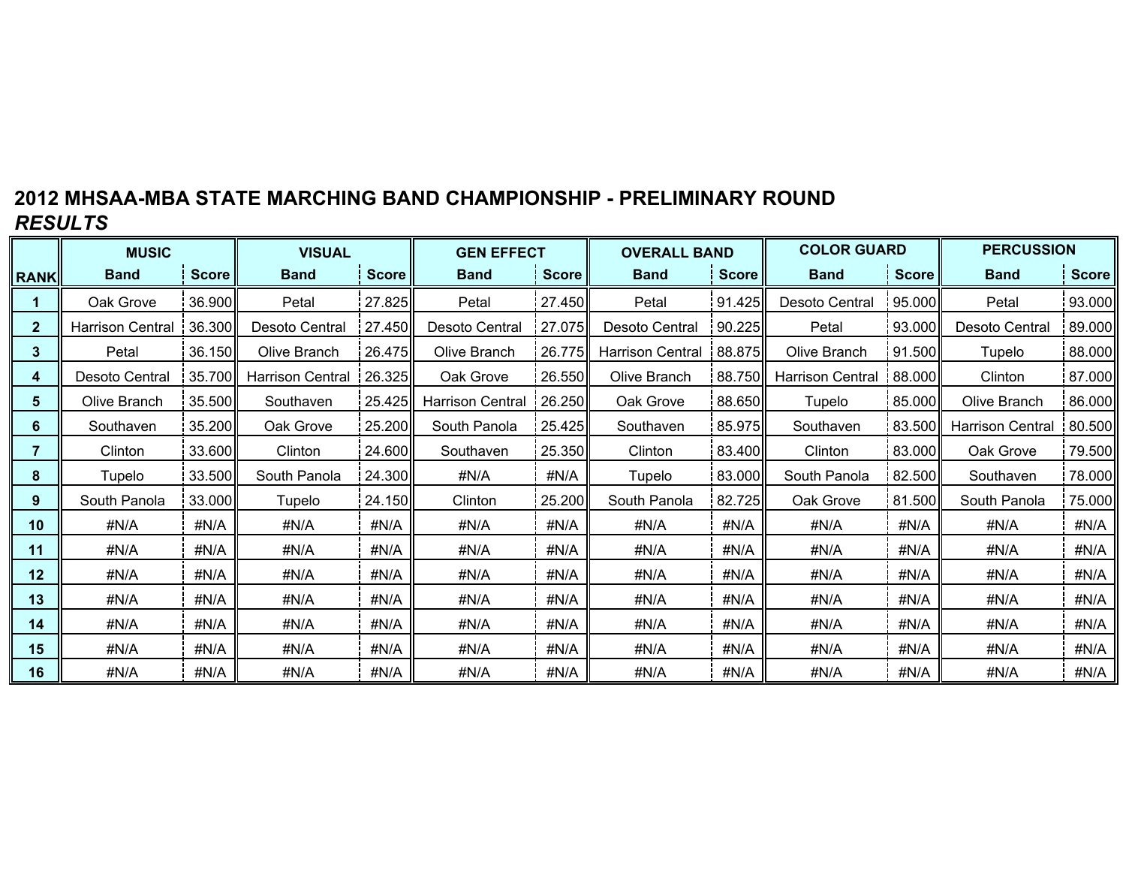# **2012 MHSAA-MBA STATE MARCHING BAND CHAMPIONSHIP - PRELIMINARY ROUND***RESULTS*

|                 | <b>MUSIC</b>            |              | <b>VISUAL</b>           |        | <b>GEN EFFECT</b>       |              | <b>OVERALL BAND</b>     |              | <b>COLOR GUARD</b>                |        | <b>PERCUSSION</b>       |              |  |
|-----------------|-------------------------|--------------|-------------------------|--------|-------------------------|--------------|-------------------------|--------------|-----------------------------------|--------|-------------------------|--------------|--|
| <b>RANK</b>     | <b>Band</b>             | <b>Score</b> | <b>Band</b>             | Score  | <b>Band</b>             | <b>Score</b> | <b>Band</b>             | <b>Score</b> | <b>Score</b><br><b>Band</b>       |        | <b>Band</b>             | <b>Score</b> |  |
|                 | Oak Grove               | 36.900       | Petal                   | 27.825 | Petal                   | 27.450       | Petal                   | 91.425       | Desoto Central                    | 95.000 | Petal                   | 93.000       |  |
| $\mathbf{2}$    | <b>Harrison Central</b> | 36.300       | Desoto Central          | 27.450 | Desoto Central          | 27.075       | Desoto Central          | 90.225       | Petal<br>93.000                   |        | Desoto Central          | 89.000       |  |
| $3\phantom{.0}$ | Petal                   | 36.150       | Olive Branch            | 26.475 | Olive Branch            | 26.775       | <b>Harrison Central</b> | 88.875       | Olive Branch                      | 91.500 | Tupelo                  | 88.000       |  |
| 4               | Desoto Central          | 35.700       | <b>Harrison Central</b> | 26.325 | Oak Grove               | 26.550       | Olive Branch            |              | 88.750<br><b>Harrison Central</b> | 88.000 | Clinton                 | 87.000       |  |
| 5.              | Olive Branch            | 35.500       | Southaven               | 25.425 | <b>Harrison Central</b> | 26.250       | Oak Grove               | 88.650       | Tupelo                            | 85.000 | Olive Branch            | 86.000       |  |
| 6               | Southaven               | 35.200       | Oak Grove               | 25.200 | South Panola            | 25.425       | Southaven               | 85.975       | Southaven                         | 83.500 | <b>Harrison Central</b> | 80.500       |  |
| 7               | Clinton                 | 33.600       | Clinton                 | 24.600 | Southaven               | 25.350       | Clinton                 | 83.400       | Clinton                           | 83.000 | Oak Grove               | 79.500       |  |
| 8               | Tupelo                  | 33.500       | South Panola            | 24.300 | #N/A                    | #N/A         | Tupelo                  | 83.000       | South Panola                      | 82.500 | Southaven               | 78.000       |  |
| 9               | South Panola            | 33.000       | Tupelo                  | 24.150 | Clinton                 | 25.200       | South Panola            | 82.725       | Oak Grove                         | 81.500 | South Panola            | 75.000       |  |
| 10              | #N/A                    | #N/A         | #N/A                    | #N/A   | #N/A                    | #N/A         | #N/A                    | #N/A         | #N/A                              | #N/A   | #N/A                    | #N/A         |  |
| 11              | #N/A                    | #N/A         | #N/A                    | #N/A   | #N/A                    | #N/A         | #N/A                    | #N/A         | #N/A                              | #N/A   | #N/A                    | #N/A         |  |
| 12              | #N/A                    | #N/A         | #N/A                    | #N/A   | #N/A                    | #N/A         | #N/A                    | #N/A         | #N/A                              | #N/A   | #N/A                    | #N/A         |  |
| 13              | #N/A                    | #N/A         | #N/A                    | #N/A   | #N/A                    | #N/A         | #N/A                    | #N/A         | #N/A<br>#N/A                      |        | #N/A                    | #N/A         |  |
| 14              | #N/A                    | #N/A         | #N/A                    | #N/A   | #N/A                    | #N/A         | #N/A                    | #N/A         | #N/A                              | #N/A   | #N/A                    | #N/A         |  |
| 15              | #N/A                    | #N/A         | #N/A                    | #N/A   | #N/A                    | #N/A         | #N/A                    | #N/A         | #N/A                              | #N/A   | #N/A                    | #N/A         |  |
| 16              | #N/A                    | #N/A         | #N/A                    | #N/A   | #N/A                    | #N/A         | #N/A                    | #N/A         | #N/A                              | #N/A   | #N/A                    | #N/A         |  |